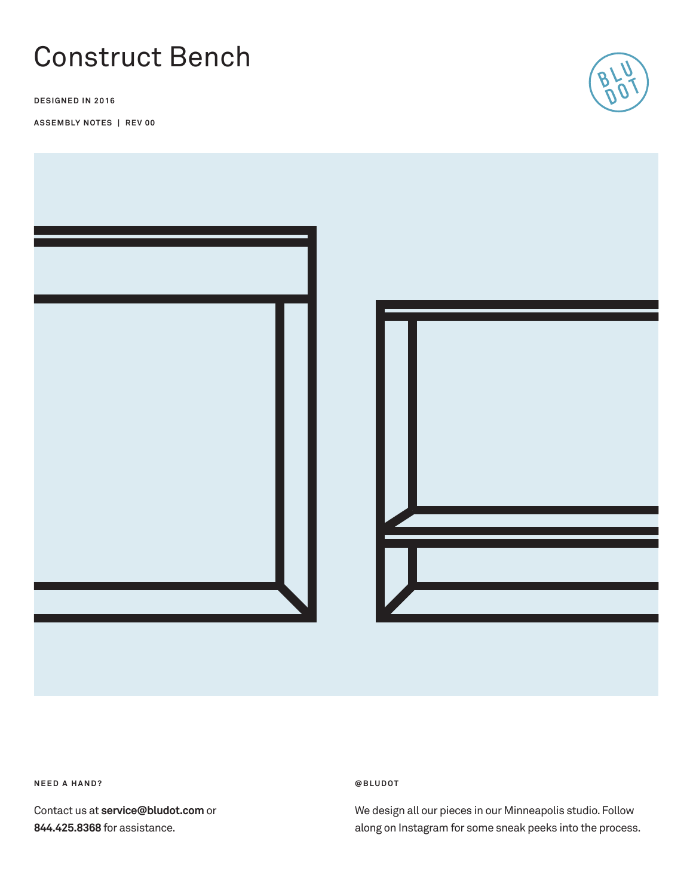# Construct Bench

**DESIGNED IN 2016**

**ASSEMBLY NOTES | REV 00**





**NEED A HAND?** 

Contact us at **service@bludot.com** or **844.425.8368** for assistance.

### **@ B L U D O T**

We design all our pieces in our Minneapolis studio. Follow along on Instagram for some sneak peeks into the process.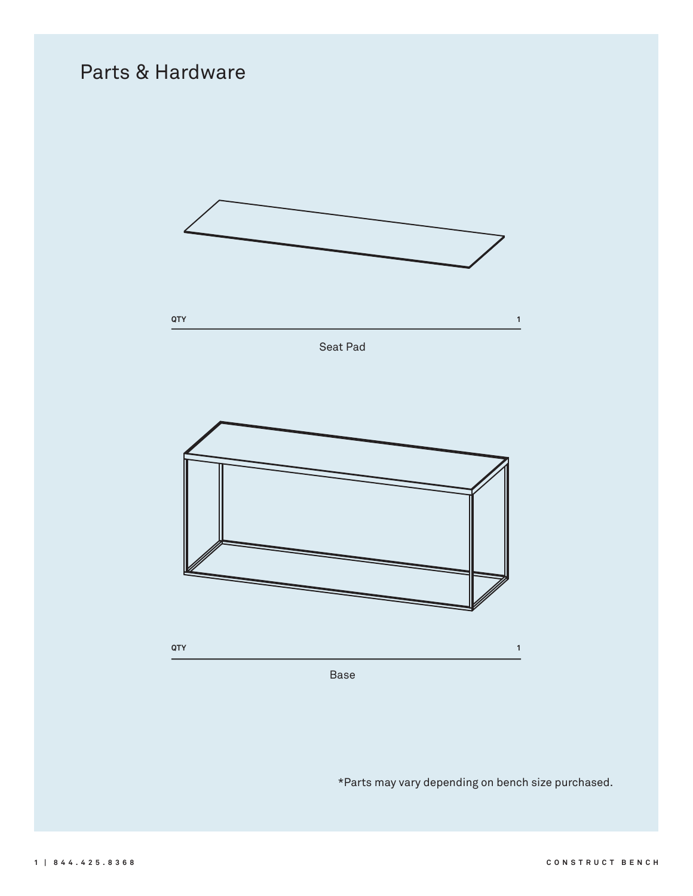## Parts & Hardware



Base

\*Parts may vary depending on bench size purchased.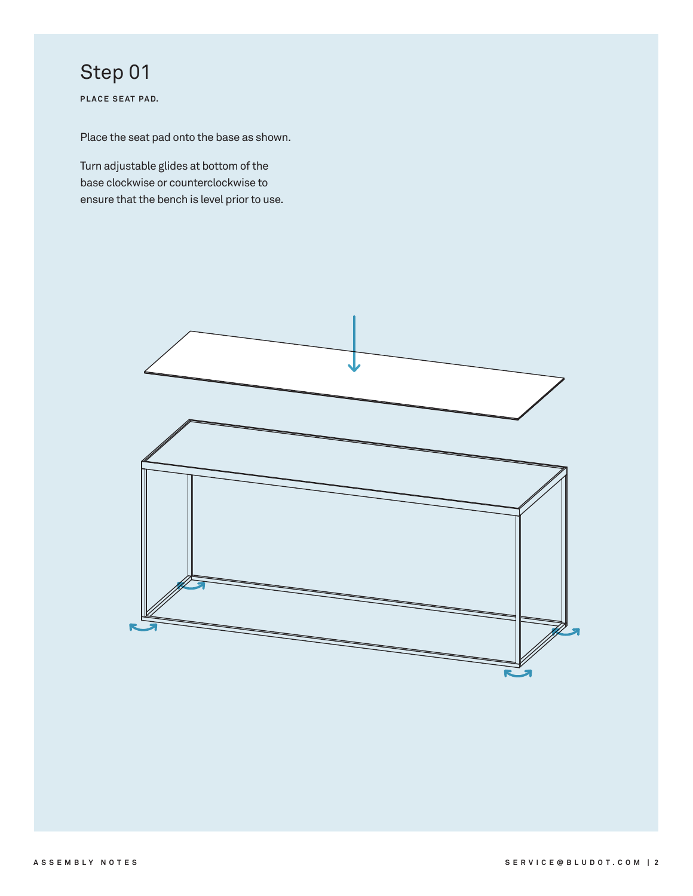# Step 01

PLACE SEAT PAD.

Place the seat pad onto the base as shown.

Turn adjustable glides at bottom of the base clockwise or counterclockwise to ensure that the bench is level prior to use.